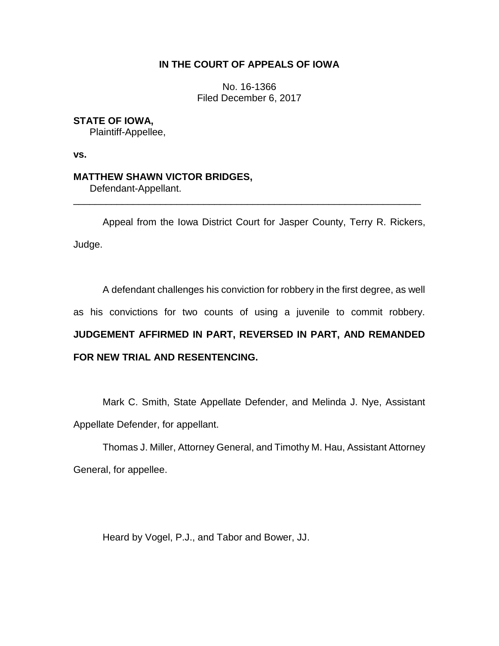# **IN THE COURT OF APPEALS OF IOWA**

No. 16-1366 Filed December 6, 2017

# **STATE OF IOWA,**

Plaintiff-Appellee,

**vs.** 

# **MATTHEW SHAWN VICTOR BRIDGES,**

Defendant-Appellant.

Appeal from the Iowa District Court for Jasper County, Terry R. Rickers, Judge.

\_\_\_\_\_\_\_\_\_\_\_\_\_\_\_\_\_\_\_\_\_\_\_\_\_\_\_\_\_\_\_\_\_\_\_\_\_\_\_\_\_\_\_\_\_\_\_\_\_\_\_\_\_\_\_\_\_\_\_\_\_\_\_\_

A defendant challenges his conviction for robbery in the first degree, as well

as his convictions for two counts of using a juvenile to commit robbery.

# **JUDGEMENT AFFIRMED IN PART, REVERSED IN PART, AND REMANDED FOR NEW TRIAL AND RESENTENCING.**

Mark C. Smith, State Appellate Defender, and Melinda J. Nye, Assistant Appellate Defender, for appellant.

Thomas J. Miller, Attorney General, and Timothy M. Hau, Assistant Attorney General, for appellee.

Heard by Vogel, P.J., and Tabor and Bower, JJ.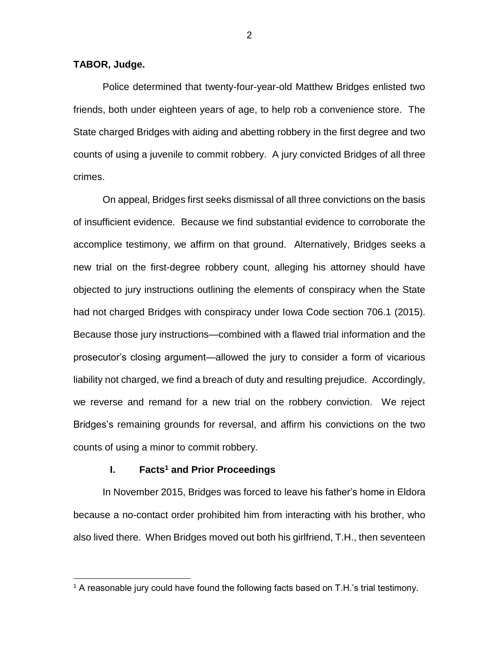## **TABOR, Judge.**

 $\overline{a}$ 

Police determined that twenty-four-year-old Matthew Bridges enlisted two friends, both under eighteen years of age, to help rob a convenience store. The State charged Bridges with aiding and abetting robbery in the first degree and two counts of using a juvenile to commit robbery. A jury convicted Bridges of all three crimes.

On appeal, Bridges first seeks dismissal of all three convictions on the basis of insufficient evidence. Because we find substantial evidence to corroborate the accomplice testimony, we affirm on that ground. Alternatively, Bridges seeks a new trial on the first-degree robbery count, alleging his attorney should have objected to jury instructions outlining the elements of conspiracy when the State had not charged Bridges with conspiracy under Iowa Code section 706.1 (2015). Because those jury instructions—combined with a flawed trial information and the prosecutor's closing argument—allowed the jury to consider a form of vicarious liability not charged, we find a breach of duty and resulting prejudice. Accordingly, we reverse and remand for a new trial on the robbery conviction. We reject Bridges's remaining grounds for reversal, and affirm his convictions on the two counts of using a minor to commit robbery.

#### **I. Facts<sup>1</sup> and Prior Proceedings**

In November 2015, Bridges was forced to leave his father's home in Eldora because a no-contact order prohibited him from interacting with his brother, who also lived there. When Bridges moved out both his girlfriend, T.H., then seventeen

2

<sup>&</sup>lt;sup>1</sup> A reasonable jury could have found the following facts based on T.H.'s trial testimony.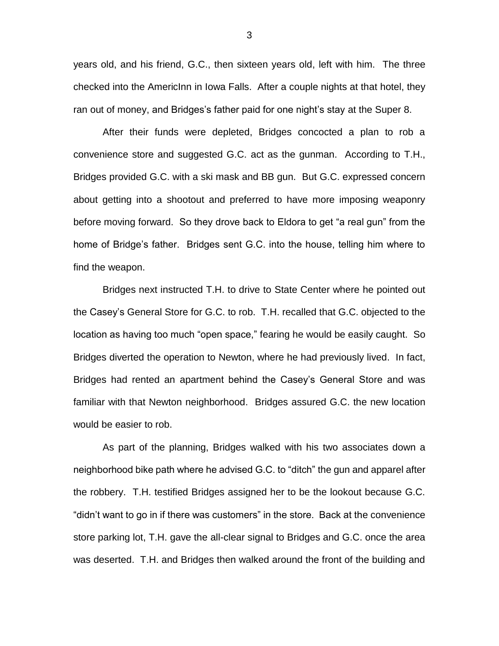years old, and his friend, G.C., then sixteen years old, left with him. The three checked into the AmericInn in Iowa Falls. After a couple nights at that hotel, they ran out of money, and Bridges's father paid for one night's stay at the Super 8.

After their funds were depleted, Bridges concocted a plan to rob a convenience store and suggested G.C. act as the gunman. According to T.H., Bridges provided G.C. with a ski mask and BB gun. But G.C. expressed concern about getting into a shootout and preferred to have more imposing weaponry before moving forward. So they drove back to Eldora to get "a real gun" from the home of Bridge's father. Bridges sent G.C. into the house, telling him where to find the weapon.

Bridges next instructed T.H. to drive to State Center where he pointed out the Casey's General Store for G.C. to rob. T.H. recalled that G.C. objected to the location as having too much "open space," fearing he would be easily caught. So Bridges diverted the operation to Newton, where he had previously lived. In fact, Bridges had rented an apartment behind the Casey's General Store and was familiar with that Newton neighborhood. Bridges assured G.C. the new location would be easier to rob.

As part of the planning, Bridges walked with his two associates down a neighborhood bike path where he advised G.C. to "ditch" the gun and apparel after the robbery. T.H. testified Bridges assigned her to be the lookout because G.C. "didn't want to go in if there was customers" in the store. Back at the convenience store parking lot, T.H. gave the all-clear signal to Bridges and G.C. once the area was deserted. T.H. and Bridges then walked around the front of the building and

3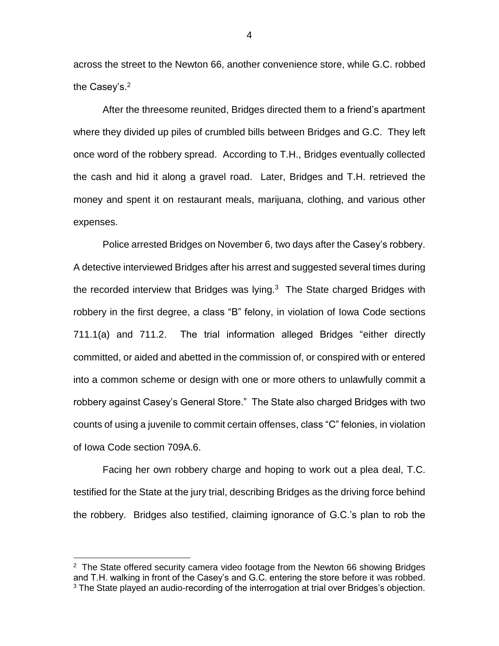across the street to the Newton 66, another convenience store, while G.C. robbed the Casey's. 2

After the threesome reunited, Bridges directed them to a friend's apartment where they divided up piles of crumbled bills between Bridges and G.C. They left once word of the robbery spread. According to T.H., Bridges eventually collected the cash and hid it along a gravel road. Later, Bridges and T.H. retrieved the money and spent it on restaurant meals, marijuana, clothing, and various other expenses.

Police arrested Bridges on November 6, two days after the Casey's robbery. A detective interviewed Bridges after his arrest and suggested several times during the recorded interview that Bridges was lying. $3$  The State charged Bridges with robbery in the first degree, a class "B" felony, in violation of Iowa Code sections 711.1(a) and 711.2. The trial information alleged Bridges "either directly committed, or aided and abetted in the commission of, or conspired with or entered into a common scheme or design with one or more others to unlawfully commit a robbery against Casey's General Store." The State also charged Bridges with two counts of using a juvenile to commit certain offenses, class "C" felonies, in violation of Iowa Code section 709A.6.

Facing her own robbery charge and hoping to work out a plea deal, T.C. testified for the State at the jury trial, describing Bridges as the driving force behind the robbery. Bridges also testified, claiming ignorance of G.C.'s plan to rob the

 $2$  The State offered security camera video footage from the Newton 66 showing Bridges and T.H. walking in front of the Casey's and G.C. entering the store before it was robbed. <sup>3</sup> The State played an audio-recording of the interrogation at trial over Bridges's objection.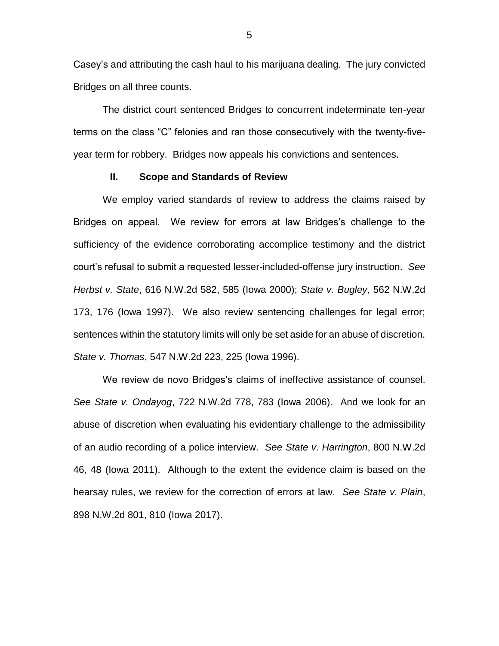Casey's and attributing the cash haul to his marijuana dealing. The jury convicted Bridges on all three counts.

The district court sentenced Bridges to concurrent indeterminate ten-year terms on the class "C" felonies and ran those consecutively with the twenty-fiveyear term for robbery. Bridges now appeals his convictions and sentences.

#### **II. Scope and Standards of Review**

We employ varied standards of review to address the claims raised by Bridges on appeal. We review for errors at law Bridges's challenge to the sufficiency of the evidence corroborating accomplice testimony and the district court's refusal to submit a requested lesser-included-offense jury instruction. *See Herbst v. State*, 616 N.W.2d 582, 585 (Iowa 2000); *State v. Bugley*, 562 N.W.2d 173, 176 (Iowa 1997). We also review sentencing challenges for legal error; sentences within the statutory limits will only be set aside for an abuse of discretion. *State v. Thomas*, 547 N.W.2d 223, 225 (Iowa 1996).

We review de novo Bridges's claims of ineffective assistance of counsel. *See State v. Ondayog*, 722 N.W.2d 778, 783 (Iowa 2006). And we look for an abuse of discretion when evaluating his evidentiary challenge to the admissibility of an audio recording of a police interview. *See State v. Harrington*, 800 N.W.2d 46, 48 (Iowa 2011). Although to the extent the evidence claim is based on the hearsay rules, we review for the correction of errors at law. *See State v. Plain*, 898 N.W.2d 801, 810 (Iowa 2017).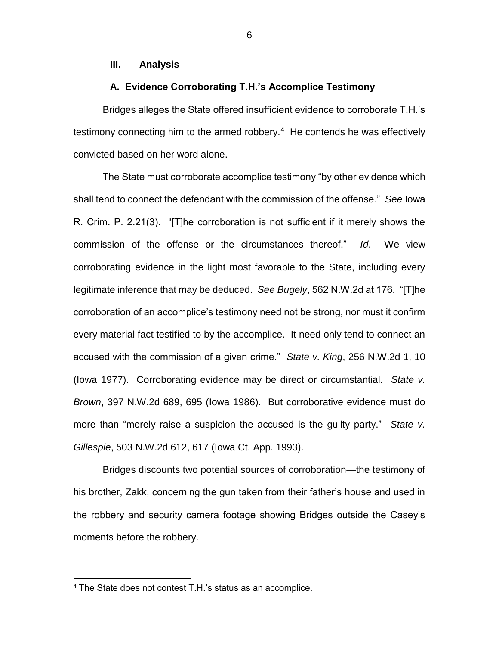# **III. Analysis**

# **A. Evidence Corroborating T.H.'s Accomplice Testimony**

Bridges alleges the State offered insufficient evidence to corroborate T.H.'s testimony connecting him to the armed robbery. $4$  He contends he was effectively convicted based on her word alone.

The State must corroborate accomplice testimony "by other evidence which shall tend to connect the defendant with the commission of the offense." *See* Iowa R. Crim. P. 2.21(3). "[T]he corroboration is not sufficient if it merely shows the commission of the offense or the circumstances thereof." *Id*. We view corroborating evidence in the light most favorable to the State, including every legitimate inference that may be deduced. *See Bugely*, 562 N.W.2d at 176. "[T]he corroboration of an accomplice's testimony need not be strong, nor must it confirm every material fact testified to by the accomplice. It need only tend to connect an accused with the commission of a given crime." *State v. King*, 256 N.W.2d 1, 10 (Iowa 1977). Corroborating evidence may be direct or circumstantial. *State v. Brown*, 397 N.W.2d 689, 695 (Iowa 1986). But corroborative evidence must do more than "merely raise a suspicion the accused is the guilty party." *State v. Gillespie*, 503 N.W.2d 612, 617 (Iowa Ct. App. 1993).

Bridges discounts two potential sources of corroboration—the testimony of his brother, Zakk, concerning the gun taken from their father's house and used in the robbery and security camera footage showing Bridges outside the Casey's moments before the robbery.

<sup>4</sup> The State does not contest T.H.'s status as an accomplice.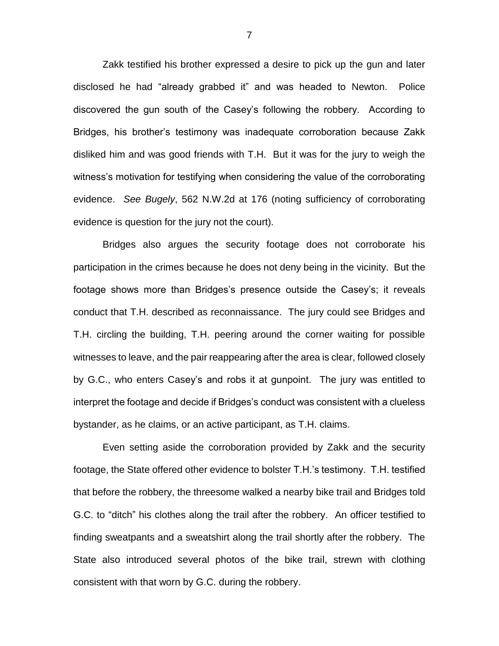Zakk testified his brother expressed a desire to pick up the gun and later disclosed he had "already grabbed it" and was headed to Newton. Police discovered the gun south of the Casey's following the robbery. According to Bridges, his brother's testimony was inadequate corroboration because Zakk disliked him and was good friends with T.H. But it was for the jury to weigh the witness's motivation for testifying when considering the value of the corroborating evidence. *See Bugely*, 562 N.W.2d at 176 (noting sufficiency of corroborating evidence is question for the jury not the court).

Bridges also argues the security footage does not corroborate his participation in the crimes because he does not deny being in the vicinity. But the footage shows more than Bridges's presence outside the Casey's; it reveals conduct that T.H. described as reconnaissance. The jury could see Bridges and T.H. circling the building, T.H. peering around the corner waiting for possible witnesses to leave, and the pair reappearing after the area is clear, followed closely by G.C., who enters Casey's and robs it at gunpoint. The jury was entitled to interpret the footage and decide if Bridges's conduct was consistent with a clueless bystander, as he claims, or an active participant, as T.H. claims.

Even setting aside the corroboration provided by Zakk and the security footage, the State offered other evidence to bolster T.H.'s testimony. T.H. testified that before the robbery, the threesome walked a nearby bike trail and Bridges told G.C. to "ditch" his clothes along the trail after the robbery. An officer testified to finding sweatpants and a sweatshirt along the trail shortly after the robbery. The State also introduced several photos of the bike trail, strewn with clothing consistent with that worn by G.C. during the robbery.

7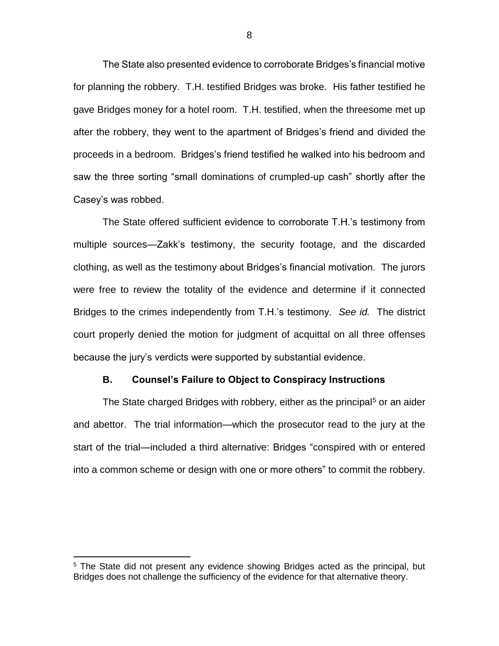The State also presented evidence to corroborate Bridges's financial motive for planning the robbery. T.H. testified Bridges was broke. His father testified he gave Bridges money for a hotel room. T.H. testified, when the threesome met up after the robbery, they went to the apartment of Bridges's friend and divided the proceeds in a bedroom. Bridges's friend testified he walked into his bedroom and saw the three sorting "small dominations of crumpled-up cash" shortly after the Casey's was robbed.

The State offered sufficient evidence to corroborate T.H.'s testimony from multiple sources—Zakk's testimony, the security footage, and the discarded clothing, as well as the testimony about Bridges's financial motivation. The jurors were free to review the totality of the evidence and determine if it connected Bridges to the crimes independently from T.H.'s testimony. *See id.* The district court properly denied the motion for judgment of acquittal on all three offenses because the jury's verdicts were supported by substantial evidence.

#### **B. Counsel's Failure to Object to Conspiracy Instructions**

The State charged Bridges with robbery, either as the principal<sup>5</sup> or an aider and abettor. The trial information—which the prosecutor read to the jury at the start of the trial—included a third alternative: Bridges "conspired with or entered into a common scheme or design with one or more others" to commit the robbery.

<sup>&</sup>lt;sup>5</sup> The State did not present any evidence showing Bridges acted as the principal, but Bridges does not challenge the sufficiency of the evidence for that alternative theory.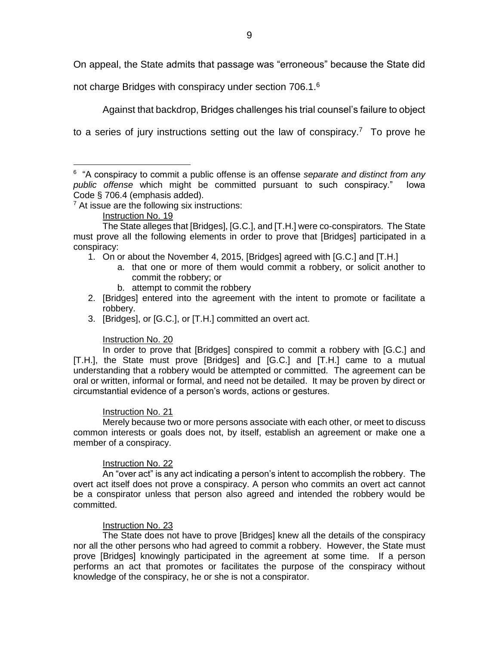On appeal, the State admits that passage was "erroneous" because the State did

not charge Bridges with conspiracy under section 706.1.<sup>6</sup>

Against that backdrop, Bridges challenges his trial counsel's failure to object

to a series of jury instructions setting out the law of conspiracy.<sup>7</sup> To prove he

 $<sup>7</sup>$  At issue are the following six instructions:</sup>

#### Instruction No. 19

 $\overline{a}$ 

The State alleges that [Bridges], [G.C.], and [T.H.] were co-conspirators. The State must prove all the following elements in order to prove that [Bridges] participated in a conspiracy:

- 1. On or about the November 4, 2015, [Bridges] agreed with [G.C.] and [T.H.]
	- a. that one or more of them would commit a robbery, or solicit another to commit the robbery; or
	- b. attempt to commit the robbery
- 2. [Bridges] entered into the agreement with the intent to promote or facilitate a robbery.
- 3. [Bridges], or [G.C.], or [T.H.] committed an overt act.

## Instruction No. 20

In order to prove that [Bridges] conspired to commit a robbery with [G.C.] and [T.H.], the State must prove [Bridges] and [G.C.] and [T.H.] came to a mutual understanding that a robbery would be attempted or committed. The agreement can be oral or written, informal or formal, and need not be detailed. It may be proven by direct or circumstantial evidence of a person's words, actions or gestures.

## Instruction No. 21

Merely because two or more persons associate with each other, or meet to discuss common interests or goals does not, by itself, establish an agreement or make one a member of a conspiracy.

## Instruction No. 22

An "over act" is any act indicating a person's intent to accomplish the robbery. The overt act itself does not prove a conspiracy. A person who commits an overt act cannot be a conspirator unless that person also agreed and intended the robbery would be committed.

## Instruction No. 23

The State does not have to prove [Bridges] knew all the details of the conspiracy nor all the other persons who had agreed to commit a robbery. However, the State must prove [Bridges] knowingly participated in the agreement at some time. If a person performs an act that promotes or facilitates the purpose of the conspiracy without knowledge of the conspiracy, he or she is not a conspirator.

<sup>6</sup> "A conspiracy to commit a public offense is an offense *separate and distinct from any public offense* which might be committed pursuant to such conspiracy." Iowa Code § 706.4 (emphasis added).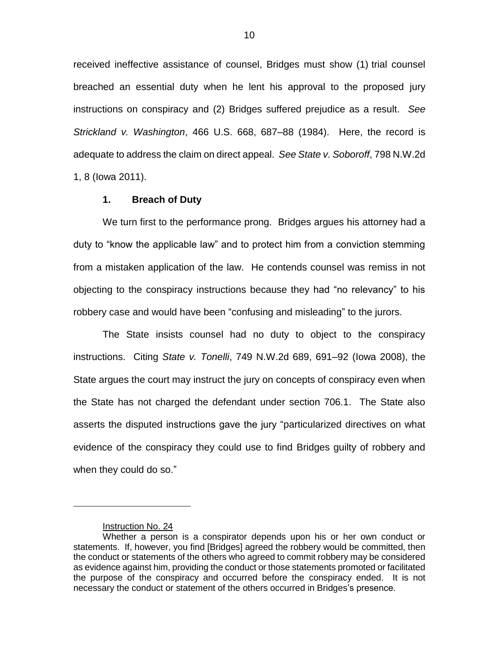received ineffective assistance of counsel, Bridges must show (1) trial counsel breached an essential duty when he lent his approval to the proposed jury instructions on conspiracy and (2) Bridges suffered prejudice as a result. *See Strickland v. Washington*, 466 U.S. 668, 687–88 (1984). Here, the record is adequate to address the claim on direct appeal. *See State v. Soboroff*, 798 N.W.2d 1, 8 (Iowa 2011).

#### **1. Breach of Duty**

We turn first to the performance prong. Bridges argues his attorney had a duty to "know the applicable law" and to protect him from a conviction stemming from a mistaken application of the law. He contends counsel was remiss in not objecting to the conspiracy instructions because they had "no relevancy" to his robbery case and would have been "confusing and misleading" to the jurors.

The State insists counsel had no duty to object to the conspiracy instructions. Citing *State v. Tonelli*, 749 N.W.2d 689, 691–92 (Iowa 2008), the State argues the court may instruct the jury on concepts of conspiracy even when the State has not charged the defendant under section 706.1. The State also asserts the disputed instructions gave the jury "particularized directives on what evidence of the conspiracy they could use to find Bridges guilty of robbery and when they could do so."

Instruction No. 24

Whether a person is a conspirator depends upon his or her own conduct or statements. If, however, you find [Bridges] agreed the robbery would be committed, then the conduct or statements of the others who agreed to commit robbery may be considered as evidence against him, providing the conduct or those statements promoted or facilitated the purpose of the conspiracy and occurred before the conspiracy ended. It is not necessary the conduct or statement of the others occurred in Bridges's presence.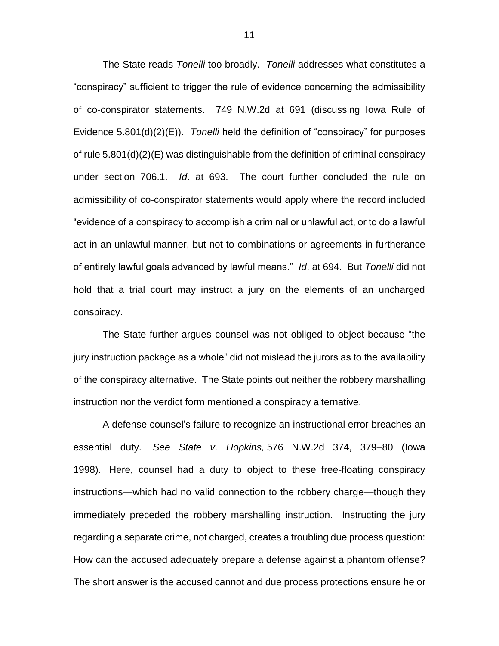The State reads *Tonelli* too broadly. *Tonelli* addresses what constitutes a "conspiracy" sufficient to trigger the rule of evidence concerning the admissibility of co-conspirator statements. 749 N.W.2d at 691 (discussing Iowa Rule of Evidence 5.801(d)(2)(E)). *Tonelli* held the definition of "conspiracy" for purposes of rule 5.801(d)(2)(E) was distinguishable from the definition of criminal conspiracy under section 706.1. *Id*. at 693. The court further concluded the rule on admissibility of co-conspirator statements would apply where the record included "evidence of a conspiracy to accomplish a criminal or unlawful act, or to do a lawful act in an unlawful manner, but not to combinations or agreements in furtherance of entirely lawful goals advanced by lawful means." *Id*. at 694. But *Tonelli* did not hold that a trial court may instruct a jury on the elements of an uncharged conspiracy.

The State further argues counsel was not obliged to object because "the jury instruction package as a whole" did not mislead the jurors as to the availability of the conspiracy alternative. The State points out neither the robbery marshalling instruction nor the verdict form mentioned a conspiracy alternative.

A defense counsel's failure to recognize an instructional error breaches an essential duty. *See State v. Hopkins,* 576 N.W.2d 374, 379–80 (Iowa 1998). Here, counsel had a duty to object to these free-floating conspiracy instructions—which had no valid connection to the robbery charge—though they immediately preceded the robbery marshalling instruction. Instructing the jury regarding a separate crime, not charged, creates a troubling due process question: How can the accused adequately prepare a defense against a phantom offense? The short answer is the accused cannot and due process protections ensure he or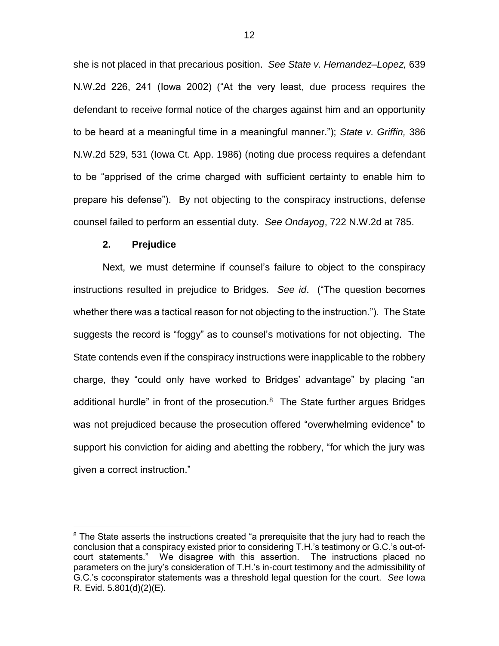she is not placed in that precarious position. *See State v. Hernandez–Lopez,* 639 N.W.2d 226, 241 (Iowa 2002) ("At the very least, due process requires the defendant to receive formal notice of the charges against him and an opportunity to be heard at a meaningful time in a meaningful manner."); *State v. Griffin,* 386 N.W.2d 529, 531 (Iowa Ct. App. 1986) (noting due process requires a defendant to be "apprised of the crime charged with sufficient certainty to enable him to prepare his defense"). By not objecting to the conspiracy instructions, defense counsel failed to perform an essential duty. *See Ondayog*, 722 N.W.2d at 785.

#### **2. Prejudice**

 $\overline{a}$ 

Next, we must determine if counsel's failure to object to the conspiracy instructions resulted in prejudice to Bridges. *See id*. ("The question becomes whether there was a tactical reason for not objecting to the instruction."). The State suggests the record is "foggy" as to counsel's motivations for not objecting. The State contends even if the conspiracy instructions were inapplicable to the robbery charge, they "could only have worked to Bridges' advantage" by placing "an additional hurdle" in front of the prosecution.<sup>8</sup> The State further argues Bridges was not prejudiced because the prosecution offered "overwhelming evidence" to support his conviction for aiding and abetting the robbery, "for which the jury was given a correct instruction."

<sup>&</sup>lt;sup>8</sup> The State asserts the instructions created "a prerequisite that the jury had to reach the conclusion that a conspiracy existed prior to considering T.H.'s testimony or G.C.'s out-ofcourt statements." We disagree with this assertion. The instructions placed no parameters on the jury's consideration of T.H.'s in-court testimony and the admissibility of G.C.'s coconspirator statements was a threshold legal question for the court. *See* Iowa R. Evid. 5.801(d)(2)(E).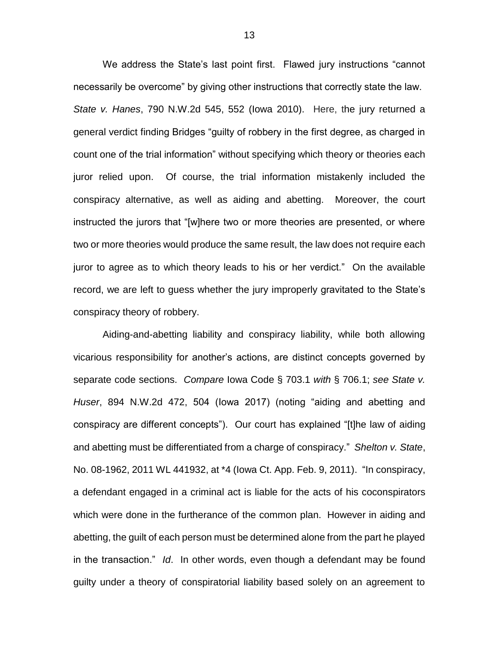We address the State's last point first. Flawed jury instructions "cannot necessarily be overcome" by giving other instructions that correctly state the law. *State v. Hanes*, 790 N.W.2d 545, 552 (Iowa 2010). Here, the jury returned a general verdict finding Bridges "guilty of robbery in the first degree, as charged in count one of the trial information" without specifying which theory or theories each juror relied upon. Of course, the trial information mistakenly included the conspiracy alternative, as well as aiding and abetting. Moreover, the court instructed the jurors that "[w]here two or more theories are presented, or where two or more theories would produce the same result, the law does not require each juror to agree as to which theory leads to his or her verdict." On the available record, we are left to guess whether the jury improperly gravitated to the State's conspiracy theory of robbery.

Aiding-and-abetting liability and conspiracy liability, while both allowing vicarious responsibility for another's actions, are distinct concepts governed by separate code sections. *Compare* Iowa Code § 703.1 *with* § 706.1; *see State v. Huser*, 894 N.W.2d 472, 504 (Iowa 2017) (noting "aiding and abetting and conspiracy are different concepts"). Our court has explained "[t]he law of aiding and abetting must be differentiated from a charge of conspiracy." *Shelton v. State*, No. 08-1962, 2011 WL 441932, at \*4 (Iowa Ct. App. Feb. 9, 2011). "In conspiracy, a defendant engaged in a criminal act is liable for the acts of his coconspirators which were done in the furtherance of the common plan. However in aiding and abetting, the guilt of each person must be determined alone from the part he played in the transaction." *Id*. In other words, even though a defendant may be found guilty under a theory of conspiratorial liability based solely on an agreement to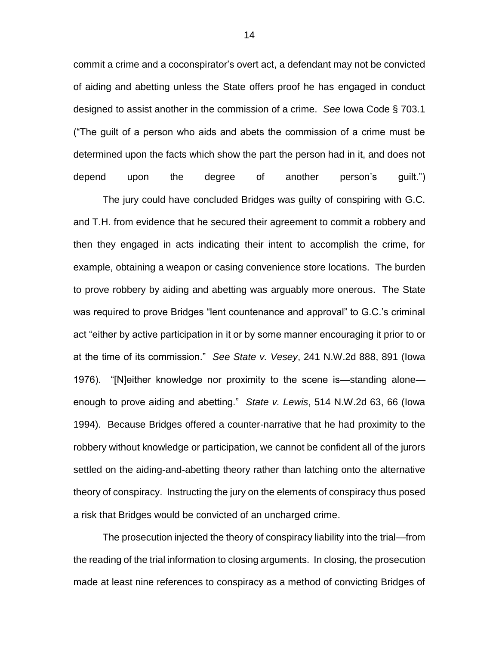commit a crime and a coconspirator's overt act, a defendant may not be convicted of aiding and abetting unless the State offers proof he has engaged in conduct designed to assist another in the commission of a crime. *See* Iowa Code § 703.1 ("The guilt of a person who aids and abets the commission of a crime must be determined upon the facts which show the part the person had in it, and does not depend upon the degree of another person's guilt.")

The jury could have concluded Bridges was guilty of conspiring with G.C. and T.H. from evidence that he secured their agreement to commit a robbery and then they engaged in acts indicating their intent to accomplish the crime, for example, obtaining a weapon or casing convenience store locations. The burden to prove robbery by aiding and abetting was arguably more onerous. The State was required to prove Bridges "lent countenance and approval" to G.C.'s criminal act "either by active participation in it or by some manner encouraging it prior to or at the time of its commission." *See State v. Vesey*, 241 N.W.2d 888, 891 (Iowa 1976). "[N]either knowledge nor proximity to the scene is—standing alone enough to prove aiding and abetting." *State v. Lewis*, 514 N.W.2d 63, 66 (Iowa 1994). Because Bridges offered a counter-narrative that he had proximity to the robbery without knowledge or participation, we cannot be confident all of the jurors settled on the aiding-and-abetting theory rather than latching onto the alternative theory of conspiracy. Instructing the jury on the elements of conspiracy thus posed a risk that Bridges would be convicted of an uncharged crime.

The prosecution injected the theory of conspiracy liability into the trial—from the reading of the trial information to closing arguments. In closing, the prosecution made at least nine references to conspiracy as a method of convicting Bridges of

14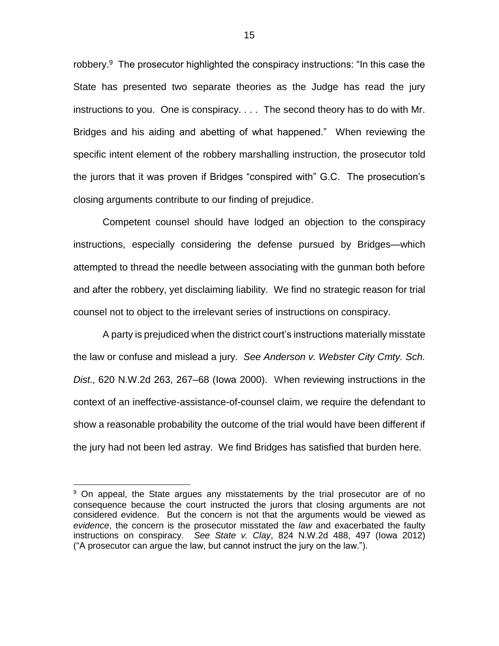robbery.<sup>9</sup> The prosecutor highlighted the conspiracy instructions: "In this case the State has presented two separate theories as the Judge has read the jury instructions to you. One is conspiracy. . . . The second theory has to do with Mr. Bridges and his aiding and abetting of what happened." When reviewing the specific intent element of the robbery marshalling instruction, the prosecutor told the jurors that it was proven if Bridges "conspired with" G.C. The prosecution's closing arguments contribute to our finding of prejudice.

Competent counsel should have lodged an objection to the conspiracy instructions, especially considering the defense pursued by Bridges—which attempted to thread the needle between associating with the gunman both before and after the robbery, yet disclaiming liability. We find no strategic reason for trial counsel not to object to the irrelevant series of instructions on conspiracy.

A party is prejudiced when the district court's instructions materially misstate the law or confuse and mislead a jury. *See Anderson v. Webster City Cmty. Sch. Dist.,* 620 N.W.2d 263, 267–68 (Iowa 2000). When reviewing instructions in the context of an ineffective-assistance-of-counsel claim, we require the defendant to show a reasonable probability the outcome of the trial would have been different if the jury had not been led astray. We find Bridges has satisfied that burden here.

<sup>&</sup>lt;sup>9</sup> On appeal, the State argues any misstatements by the trial prosecutor are of no consequence because the court instructed the jurors that closing arguments are not considered evidence. But the concern is not that the arguments would be viewed as *evidence*, the concern is the prosecutor misstated the *law* and exacerbated the faulty instructions on conspiracy. *See State v. Clay*, 824 N.W.2d 488, 497 (Iowa 2012) ("A prosecutor can argue the law, but cannot instruct the jury on the law.").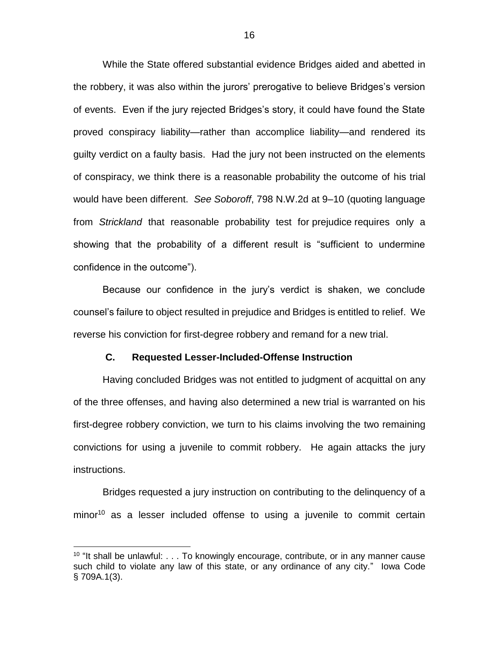While the State offered substantial evidence Bridges aided and abetted in the robbery, it was also within the jurors' prerogative to believe Bridges's version of events. Even if the jury rejected Bridges's story, it could have found the State proved conspiracy liability—rather than accomplice liability—and rendered its guilty verdict on a faulty basis. Had the jury not been instructed on the elements of conspiracy, we think there is a reasonable probability the outcome of his trial would have been different. *See Soboroff*, 798 N.W.2d at 9–10 (quoting language from *Strickland* that reasonable probability test for prejudice requires only a showing that the probability of a different result is "sufficient to undermine confidence in the outcome").

Because our confidence in the jury's verdict is shaken, we conclude counsel's failure to object resulted in prejudice and Bridges is entitled to relief. We reverse his conviction for first-degree robbery and remand for a new trial.

# **C. Requested Lesser-Included-Offense Instruction**

Having concluded Bridges was not entitled to judgment of acquittal on any of the three offenses, and having also determined a new trial is warranted on his first-degree robbery conviction, we turn to his claims involving the two remaining convictions for using a juvenile to commit robbery. He again attacks the jury instructions.

Bridges requested a jury instruction on contributing to the delinquency of a  $minor<sup>10</sup>$  as a lesser included offense to using a juvenile to commit certain

<sup>&</sup>lt;sup>10</sup> "It shall be unlawful: . . . To knowingly encourage, contribute, or in any manner cause such child to violate any law of this state, or any ordinance of any city." Iowa Code § 709A.1(3).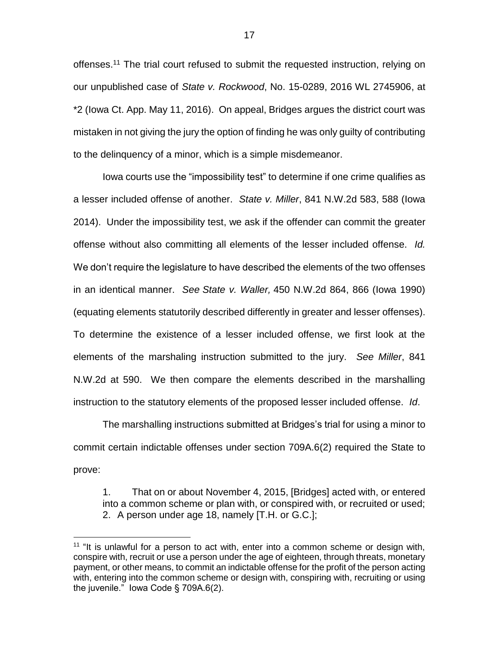offenses.<sup>11</sup> The trial court refused to submit the requested instruction, relying on our unpublished case of *State v. Rockwood*, No. 15-0289, 2016 WL 2745906, at \*2 (Iowa Ct. App. May 11, 2016). On appeal, Bridges argues the district court was mistaken in not giving the jury the option of finding he was only guilty of contributing to the delinquency of a minor, which is a simple misdemeanor.

Iowa courts use the "impossibility test" to determine if one crime qualifies as a lesser included offense of another. *State v. Miller*, 841 N.W.2d 583, 588 (Iowa 2014). Under the impossibility test, we ask if the offender can commit the greater offense without also committing all elements of the lesser included offense. *Id.* We don't require the legislature to have described the elements of the two offenses in an identical manner. *See State v. Waller,* 450 N.W.2d 864, 866 (Iowa 1990) (equating elements statutorily described differently in greater and lesser offenses). To determine the existence of a lesser included offense, we first look at the elements of the marshaling instruction submitted to the jury. *See Miller*, 841 N.W.2d at 590. We then compare the elements described in the marshalling instruction to the statutory elements of the proposed lesser included offense. *Id*.

The marshalling instructions submitted at Bridges's trial for using a minor to commit certain indictable offenses under section 709A.6(2) required the State to prove:

1. That on or about November 4, 2015, [Bridges] acted with, or entered into a common scheme or plan with, or conspired with, or recruited or used; 2. A person under age 18, namely [T.H. or G.C.];

<sup>&</sup>lt;sup>11</sup> "It is unlawful for a person to act with, enter into a common scheme or design with, conspire with, recruit or use a person under the age of eighteen, through threats, monetary payment, or other means, to commit an indictable offense for the profit of the person acting with, entering into the common scheme or design with, conspiring with, recruiting or using the juvenile." Iowa Code § 709A.6(2).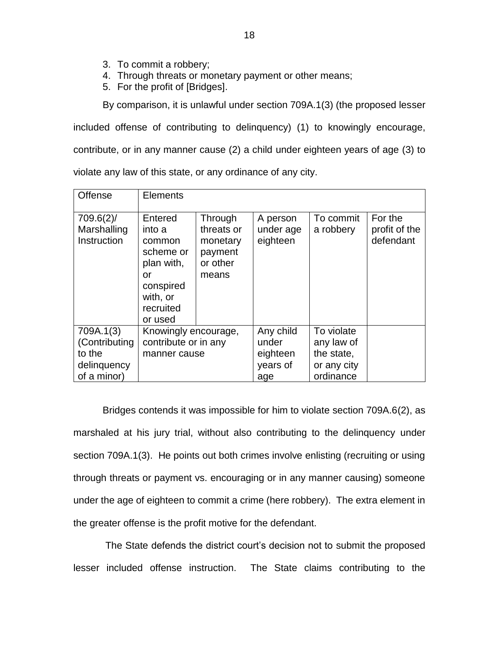- 3. To commit a robbery;
- 4. Through threats or monetary payment or other means;
- 5. For the profit of [Bridges].

By comparison, it is unlawful under section 709A.1(3) (the proposed lesser

included offense of contributing to delinquency) (1) to knowingly encourage, contribute, or in any manner cause (2) a child under eighteen years of age (3) to violate any law of this state, or any ordinance of any city.

| <b>Offense</b>                                                     | <b>Elements</b>                                                                                               |                                                                   |                                                   |                                                                    |                                       |
|--------------------------------------------------------------------|---------------------------------------------------------------------------------------------------------------|-------------------------------------------------------------------|---------------------------------------------------|--------------------------------------------------------------------|---------------------------------------|
| 709.6(2)<br>Marshalling<br>Instruction                             | Entered<br>into a<br>common<br>scheme or<br>plan with,<br>or<br>conspired<br>with, or<br>recruited<br>or used | Through<br>threats or<br>monetary<br>payment<br>or other<br>means | A person<br>under age<br>eighteen                 | To commit<br>a robbery                                             | For the<br>profit of the<br>defendant |
| 709A.1(3)<br>(Contributing<br>to the<br>delinquency<br>of a minor) | Knowingly encourage,<br>contribute or in any<br>manner cause                                                  |                                                                   | Any child<br>under<br>eighteen<br>years of<br>age | To violate<br>any law of<br>the state,<br>or any city<br>ordinance |                                       |

Bridges contends it was impossible for him to violate section 709A.6(2), as marshaled at his jury trial, without also contributing to the delinquency under section 709A.1(3). He points out both crimes involve enlisting (recruiting or using through threats or payment vs. encouraging or in any manner causing) someone under the age of eighteen to commit a crime (here robbery). The extra element in the greater offense is the profit motive for the defendant.

The State defends the district court's decision not to submit the proposed lesser included offense instruction. The State claims contributing to the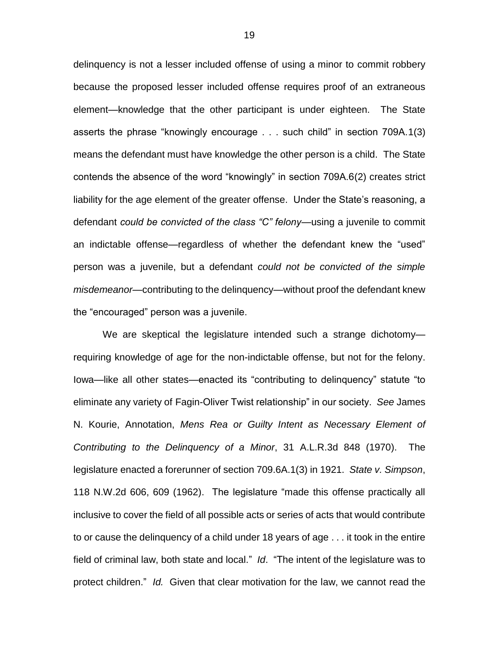delinquency is not a lesser included offense of using a minor to commit robbery because the proposed lesser included offense requires proof of an extraneous element—knowledge that the other participant is under eighteen. The State asserts the phrase "knowingly encourage . . . such child" in section 709A.1(3) means the defendant must have knowledge the other person is a child. The State contends the absence of the word "knowingly" in section 709A.6(2) creates strict liability for the age element of the greater offense. Under the State's reasoning, a defendant *could be convicted of the class "C" felony*—using a juvenile to commit an indictable offense—regardless of whether the defendant knew the "used" person was a juvenile, but a defendant *could not be convicted of the simple misdemeanor*—contributing to the delinquency—without proof the defendant knew the "encouraged" person was a juvenile.

We are skeptical the legislature intended such a strange dichotomy requiring knowledge of age for the non-indictable offense, but not for the felony. Iowa—like all other states—enacted its "contributing to delinquency" statute "to eliminate any variety of Fagin-Oliver Twist relationship" in our society. *See* James N. Kourie, Annotation, *Mens Rea or Guilty Intent as Necessary Element of Contributing to the Delinquency of a Minor*, 31 A.L.R.3d 848 (1970). The legislature enacted a forerunner of section 709.6A.1(3) in 1921. *State v. Simpson*, 118 N.W.2d 606, 609 (1962). The legislature "made this offense practically all inclusive to cover the field of all possible acts or series of acts that would contribute to or cause the delinquency of a child under 18 years of age . . . it took in the entire field of criminal law, both state and local." *Id*. "The intent of the legislature was to protect children." *Id.* Given that clear motivation for the law, we cannot read the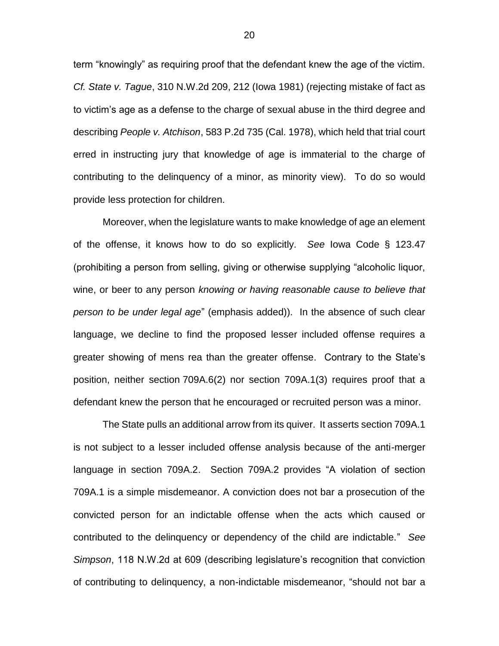term "knowingly" as requiring proof that the defendant knew the age of the victim. *Cf. State v. Tague*, 310 N.W.2d 209, 212 (Iowa 1981) (rejecting mistake of fact as to victim's age as a defense to the charge of sexual abuse in the third degree and describing *People v. Atchison*, 583 P.2d 735 (Cal. 1978), which held that trial court erred in instructing jury that knowledge of age is immaterial to the charge of contributing to the delinquency of a minor, as minority view). To do so would provide less protection for children.

Moreover, when the legislature wants to make knowledge of age an element of the offense, it knows how to do so explicitly. *See* Iowa Code § 123.47 (prohibiting a person from selling, giving or otherwise supplying "alcoholic liquor, wine, or beer to any person *knowing or having reasonable cause to believe that person to be under legal age*" (emphasis added)). In the absence of such clear language, we decline to find the proposed lesser included offense requires a greater showing of mens rea than the greater offense. Contrary to the State's position, neither section 709A.6(2) nor section 709A.1(3) requires proof that a defendant knew the person that he encouraged or recruited person was a minor.

The State pulls an additional arrow from its quiver. It asserts section 709A.1 is not subject to a lesser included offense analysis because of the anti-merger language in section 709A.2. Section 709A.2 provides "A violation of section 709A.1 is a simple misdemeanor. A conviction does not bar a prosecution of the convicted person for an indictable offense when the acts which caused or contributed to the delinquency or dependency of the child are indictable." *See Simpson*, 118 N.W.2d at 609 (describing legislature's recognition that conviction of contributing to delinquency, a non-indictable misdemeanor, "should not bar a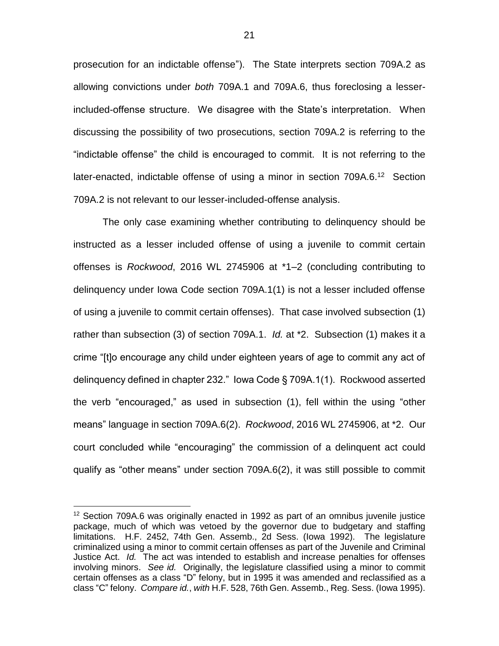prosecution for an indictable offense"). The State interprets section 709A.2 as allowing convictions under *both* 709A.1 and 709A.6, thus foreclosing a lesserincluded-offense structure. We disagree with the State's interpretation. When discussing the possibility of two prosecutions, section 709A.2 is referring to the "indictable offense" the child is encouraged to commit. It is not referring to the later-enacted, indictable offense of using a minor in section 709A.6.<sup>12</sup> Section 709A.2 is not relevant to our lesser-included-offense analysis.

The only case examining whether contributing to delinquency should be instructed as a lesser included offense of using a juvenile to commit certain offenses is *Rockwood*, 2016 WL 2745906 at \*1–2 (concluding contributing to delinquency under Iowa Code section 709A.1(1) is not a lesser included offense of using a juvenile to commit certain offenses). That case involved subsection (1) rather than subsection (3) of section 709A.1. *Id.* at \*2. Subsection (1) makes it a crime "[t]o encourage any child under eighteen years of age to commit any act of delinquency defined in chapter 232." Iowa Code § 709A.1(1). Rockwood asserted the verb "encouraged," as used in subsection (1), fell within the using "other means" language in section 709A.6(2). *Rockwood*, 2016 WL 2745906, at \*2. Our court concluded while "encouraging" the commission of a delinquent act could qualify as "other means" under section 709A.6(2), it was still possible to commit

<sup>&</sup>lt;sup>12</sup> Section 709A.6 was originally enacted in 1992 as part of an omnibus juvenile justice package, much of which was vetoed by the governor due to budgetary and staffing limitations. H.F. 2452, 74th Gen. Assemb., 2d Sess. (Iowa 1992). The legislature criminalized using a minor to commit certain offenses as part of the Juvenile and Criminal Justice Act. *Id.* The act was intended to establish and increase penalties for offenses involving minors. *See id.* Originally, the legislature classified using a minor to commit certain offenses as a class "D" felony, but in 1995 it was amended and reclassified as a class "C" felony. *Compare id.*, *with* H.F. 528, 76th Gen. Assemb., Reg. Sess. (Iowa 1995).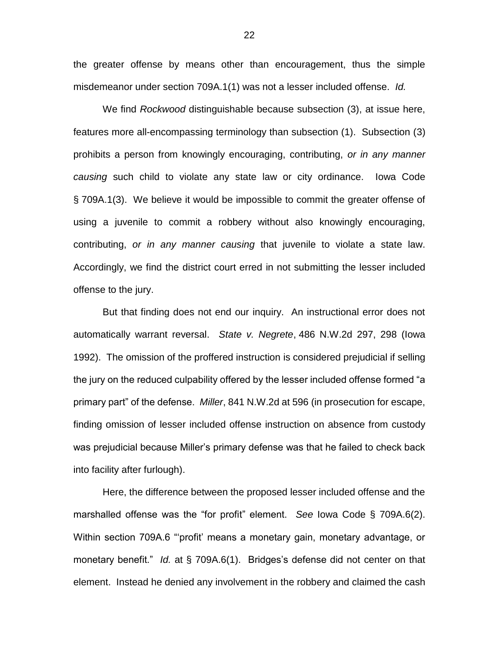the greater offense by means other than encouragement, thus the simple misdemeanor under section 709A.1(1) was not a lesser included offense. *Id.*

We find *Rockwood* distinguishable because subsection (3), at issue here, features more all-encompassing terminology than subsection (1). Subsection (3) prohibits a person from knowingly encouraging, contributing, *or in any manner causing* such child to violate any state law or city ordinance. Iowa Code § 709A.1(3). We believe it would be impossible to commit the greater offense of using a juvenile to commit a robbery without also knowingly encouraging, contributing, *or in any manner causing* that juvenile to violate a state law. Accordingly, we find the district court erred in not submitting the lesser included offense to the jury.

But that finding does not end our inquiry. An instructional error does not automatically warrant reversal. *State v. Negrete*, 486 N.W.2d 297, 298 (Iowa 1992). The omission of the proffered instruction is considered prejudicial if selling the jury on the reduced culpability offered by the lesser included offense formed "a primary part" of the defense. *Miller*, 841 N.W.2d at 596 (in prosecution for escape, finding omission of lesser included offense instruction on absence from custody was prejudicial because Miller's primary defense was that he failed to check back into facility after furlough).

Here, the difference between the proposed lesser included offense and the marshalled offense was the "for profit" element. *See* Iowa Code § 709A.6(2). Within section 709A.6 "'profit' means a monetary gain, monetary advantage, or monetary benefit." *Id.* at § 709A.6(1). Bridges's defense did not center on that element. Instead he denied any involvement in the robbery and claimed the cash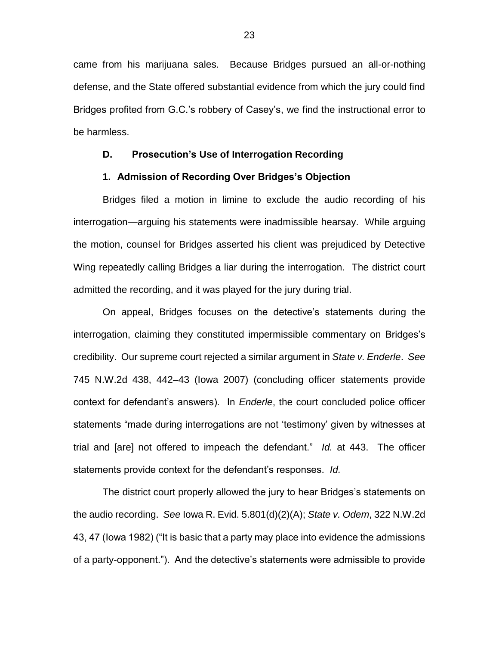came from his marijuana sales. Because Bridges pursued an all-or-nothing defense, and the State offered substantial evidence from which the jury could find Bridges profited from G.C.'s robbery of Casey's, we find the instructional error to be harmless.

# **D. Prosecution's Use of Interrogation Recording**

#### **1. Admission of Recording Over Bridges's Objection**

Bridges filed a motion in limine to exclude the audio recording of his interrogation—arguing his statements were inadmissible hearsay. While arguing the motion, counsel for Bridges asserted his client was prejudiced by Detective Wing repeatedly calling Bridges a liar during the interrogation. The district court admitted the recording, and it was played for the jury during trial.

On appeal, Bridges focuses on the detective's statements during the interrogation, claiming they constituted impermissible commentary on Bridges's credibility. Our supreme court rejected a similar argument in *State v. Enderle*. *See* 745 N.W.2d 438, 442–43 (Iowa 2007) (concluding officer statements provide context for defendant's answers). In *Enderle*, the court concluded police officer statements "made during interrogations are not 'testimony' given by witnesses at trial and [are] not offered to impeach the defendant." *Id.* at 443. The officer statements provide context for the defendant's responses. *Id.*

The district court properly allowed the jury to hear Bridges's statements on the audio recording. *See* Iowa R. Evid. 5.801(d)(2)(A); *State v. Odem*, 322 N.W.2d 43, 47 (Iowa 1982) ("It is basic that a party may place into evidence the admissions of a party-opponent."). And the detective's statements were admissible to provide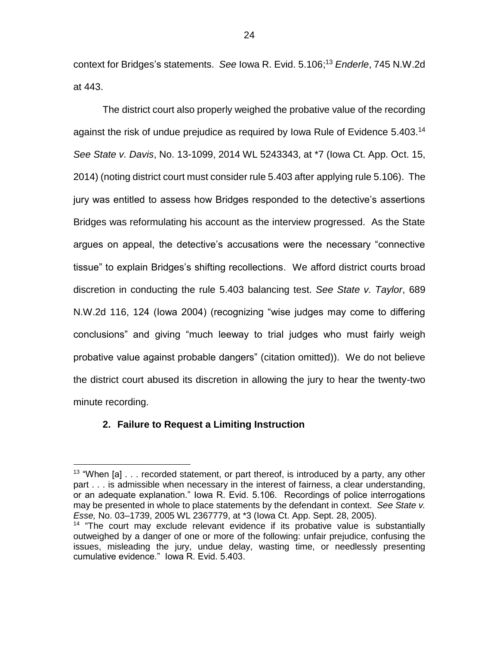context for Bridges's statements. *See* Iowa R. Evid. 5.106; <sup>13</sup> *Enderle*, 745 N.W.2d at 443.

The district court also properly weighed the probative value of the recording against the risk of undue prejudice as required by Iowa Rule of Evidence 5.403.<sup>14</sup> *See State v. Davis*, No. 13-1099, 2014 WL 5243343, at \*7 (Iowa Ct. App. Oct. 15, 2014) (noting district court must consider rule 5.403 after applying rule 5.106). The jury was entitled to assess how Bridges responded to the detective's assertions Bridges was reformulating his account as the interview progressed. As the State argues on appeal, the detective's accusations were the necessary "connective tissue" to explain Bridges's shifting recollections. We afford district courts broad discretion in conducting the rule 5.403 balancing test. *See State v. Taylor*, 689 N.W.2d 116, 124 (Iowa 2004) (recognizing "wise judges may come to differing conclusions" and giving "much leeway to trial judges who must fairly weigh probative value against probable dangers" (citation omitted)). We do not believe the district court abused its discretion in allowing the jury to hear the twenty-two minute recording.

# **2. Failure to Request a Limiting Instruction**

 $13$  "When [a]  $\ldots$  recorded statement, or part thereof, is introduced by a party, any other part . . . is admissible when necessary in the interest of fairness, a clear understanding, or an adequate explanation." Iowa R. Evid. 5.106. Recordings of police interrogations may be presented in whole to place statements by the defendant in context. *See State v. Esse,* No. 03–1739, 2005 WL 2367779, at \*3 (Iowa Ct. App. Sept. 28, 2005).

<sup>&</sup>lt;sup>14</sup> "The court may exclude relevant evidence if its probative value is substantially outweighed by a danger of one or more of the following: unfair prejudice, confusing the issues, misleading the jury, undue delay, wasting time, or needlessly presenting cumulative evidence." Iowa R. Evid. 5.403.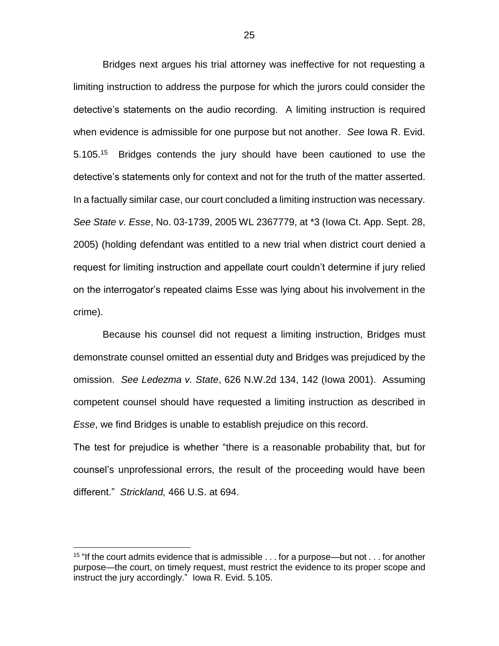Bridges next argues his trial attorney was ineffective for not requesting a limiting instruction to address the purpose for which the jurors could consider the detective's statements on the audio recording. A limiting instruction is required when evidence is admissible for one purpose but not another. *See* Iowa R. Evid. 5.105.<sup>15</sup> Bridges contends the jury should have been cautioned to use the detective's statements only for context and not for the truth of the matter asserted. In a factually similar case, our court concluded a limiting instruction was necessary. *See State v. Esse*, No. 03-1739, 2005 WL 2367779, at \*3 (Iowa Ct. App. Sept. 28, 2005) (holding defendant was entitled to a new trial when district court denied a request for limiting instruction and appellate court couldn't determine if jury relied on the interrogator's repeated claims Esse was lying about his involvement in the crime).

Because his counsel did not request a limiting instruction, Bridges must demonstrate counsel omitted an essential duty and Bridges was prejudiced by the omission. *See Ledezma v. State*, 626 N.W.2d 134, 142 (Iowa 2001). Assuming competent counsel should have requested a limiting instruction as described in *Esse*, we find Bridges is unable to establish prejudice on this record.

The test for prejudice is whether "there is a reasonable probability that, but for counsel's unprofessional errors, the result of the proceeding would have been different." *Strickland,* 466 U.S. at 694.

<sup>&</sup>lt;sup>15</sup> "If the court admits evidence that is admissible  $\dots$  for a purpose—but not  $\dots$  for another purpose—the court, on timely request, must restrict the evidence to its proper scope and instruct the jury accordingly." Iowa R. Evid. 5.105.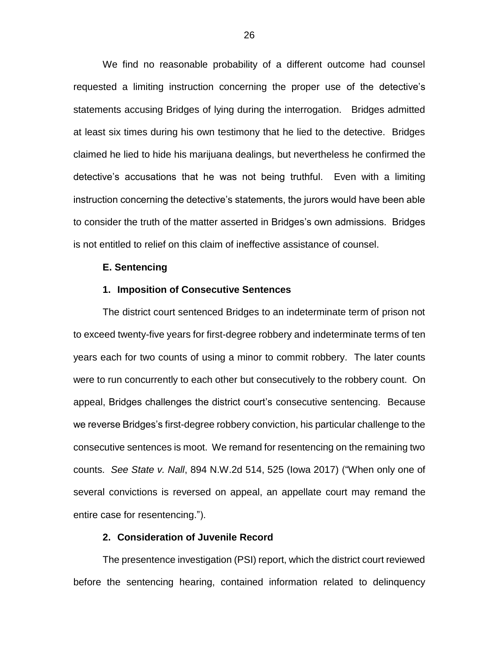We find no reasonable probability of a different outcome had counsel requested a limiting instruction concerning the proper use of the detective's statements accusing Bridges of lying during the interrogation. Bridges admitted at least six times during his own testimony that he lied to the detective. Bridges claimed he lied to hide his marijuana dealings, but nevertheless he confirmed the detective's accusations that he was not being truthful. Even with a limiting instruction concerning the detective's statements, the jurors would have been able to consider the truth of the matter asserted in Bridges's own admissions. Bridges is not entitled to relief on this claim of ineffective assistance of counsel.

#### **E. Sentencing**

#### **1. Imposition of Consecutive Sentences**

The district court sentenced Bridges to an indeterminate term of prison not to exceed twenty-five years for first-degree robbery and indeterminate terms of ten years each for two counts of using a minor to commit robbery. The later counts were to run concurrently to each other but consecutively to the robbery count. On appeal, Bridges challenges the district court's consecutive sentencing. Because we reverse Bridges's first-degree robbery conviction, his particular challenge to the consecutive sentences is moot. We remand for resentencing on the remaining two counts. *See State v. Nall*, 894 N.W.2d 514, 525 (Iowa 2017) ("When only one of several convictions is reversed on appeal, an appellate court may remand the entire case for resentencing.").

# **2. Consideration of Juvenile Record**

The presentence investigation (PSI) report, which the district court reviewed before the sentencing hearing, contained information related to delinquency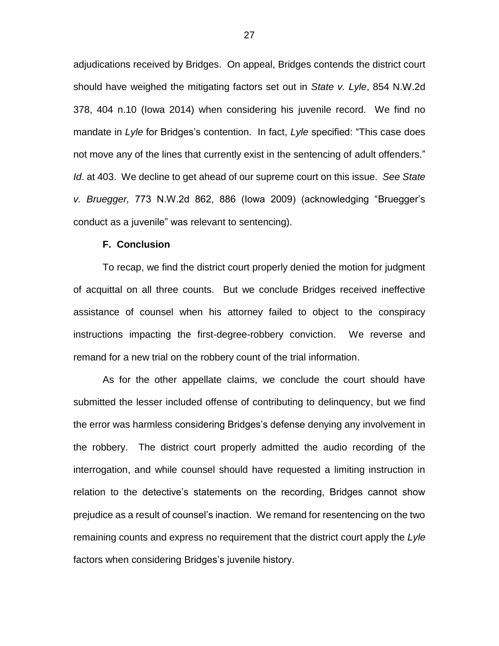adjudications received by Bridges. On appeal, Bridges contends the district court should have weighed the mitigating factors set out in *State v. Lyle*, 854 N.W.2d 378, 404 n.10 (Iowa 2014) when considering his juvenile record. We find no mandate in *Lyle* for Bridges's contention. In fact, *Lyle* specified: "This case does not move any of the lines that currently exist in the sentencing of adult offenders." *Id*. at 403. We decline to get ahead of our supreme court on this issue. *See State v. Bruegger,* 773 N.W.2d 862, 886 (Iowa 2009) (acknowledging "Bruegger's conduct as a juvenile" was relevant to sentencing).

#### **F. Conclusion**

To recap, we find the district court properly denied the motion for judgment of acquittal on all three counts. But we conclude Bridges received ineffective assistance of counsel when his attorney failed to object to the conspiracy instructions impacting the first-degree-robbery conviction. We reverse and remand for a new trial on the robbery count of the trial information.

As for the other appellate claims, we conclude the court should have submitted the lesser included offense of contributing to delinquency, but we find the error was harmless considering Bridges's defense denying any involvement in the robbery. The district court properly admitted the audio recording of the interrogation, and while counsel should have requested a limiting instruction in relation to the detective's statements on the recording, Bridges cannot show prejudice as a result of counsel's inaction. We remand for resentencing on the two remaining counts and express no requirement that the district court apply the *Lyle* factors when considering Bridges's juvenile history.